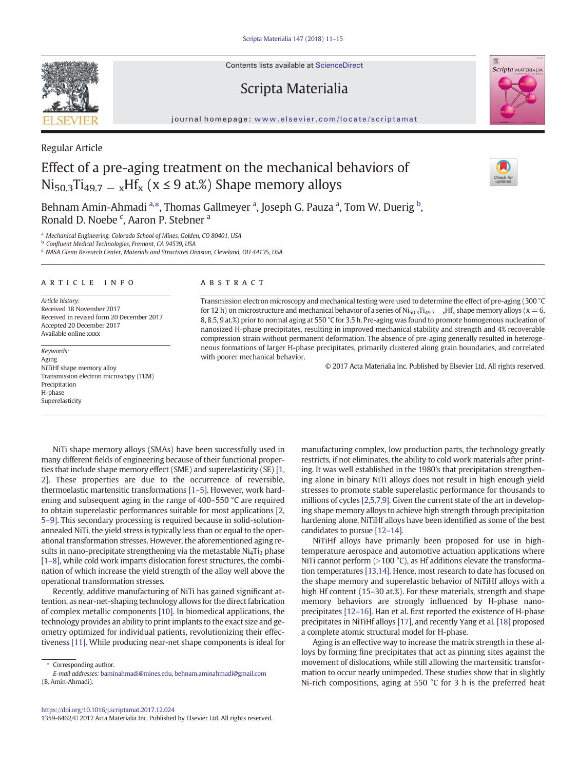Contents lists available at ScienceDirect

## Scripta Materialia



# Effect of a pre-aging treatment on the mechanical behaviors of  $Ni_{50.3}Ti_{49.7-x}Hf_{x}$  ( $x \le 9$  at.%) Shape memory alloys

Behnam Amin-Ahmadi <sup>a,</sup>\*, Thomas Gallmeyer <sup>a</sup>, Joseph G. Pauza <sup>a</sup>, Tom W. Duerig <sup>b</sup>, Ronald D. Noebe<sup>c</sup>, Aaron P. Stebner<sup>a</sup>

<sup>a</sup> Mechanical Engineering, Colorado School of Mines, Golden, CO 80401, USA

<sup>b</sup> Confluent Medical Technologies, Fremont, CA 94539, USA

<sup>c</sup> NASA Glenn Research Center, Materials and Structures Division, Cleveland, OH 44135, USA

### article info abstract

Article history: Received 18 November 2017 Received in revised form 20 December 2017 Accepted 20 December 2017 Available online xxxx

Keywords: Aging NiTiHf shape memory alloy Transmission electron microscopy (TEM) Precipitation H-phase Superelasticity

Transmission electron microscopy and mechanical testing were used to determine the effect of pre-aging (300 °C for 12 h) on microstructure and mechanical behavior of a series of Ni<sub>50.3</sub>Ti<sub>49.7</sub> – <sub>x</sub>Hf<sub>x</sub> shape memory alloys (x = 6, 8, 8.5, 9 at.%) prior to normal aging at 550 °C for 3.5 h. Pre-aging was found to promote homogenous nucleation of nanosized H-phase precipitates, resulting in improved mechanical stability and strength and 4% recoverable compression strain without permanent deformation. The absence of pre-aging generally resulted in heterogeneous formations of larger H-phase precipitates, primarily clustered along grain boundaries, and correlated with poorer mechanical behavior.

© 2017 Acta Materialia Inc. Published by Elsevier Ltd. All rights reserved.

NiTi shape memory alloys (SMAs) have been successfully used in many different fields of engineering because of their functional properties that include shape memory effect (SME) and superelasticity (SE) [\[1,](#page-3-0) [2\]](#page-3-0). These properties are due to the occurrence of reversible, thermoelastic martensitic transformations [\[1](#page-3-0)–5]. However, work hardening and subsequent aging in the range of 400–550 °C are required to obtain superelastic performances suitable for most applications [\[2,](#page-3-0) 5–[9\].](#page-3-0) This secondary processing is required because in solid-solutionannealed NiTi, the yield stress is typically less than or equal to the operational transformation stresses. However, the aforementioned aging results in nano-precipitate strengthening via the metastable  $Ni<sub>4</sub>Ti<sub>3</sub>$  phase [\[1](#page-3-0)–8], while cold work imparts dislocation forest structures, the combination of which increase the yield strength of the alloy well above the operational transformation stresses.

Recently, additive manufacturing of NiTi has gained significant attention, as near-net-shaping technology allows for the direct fabrication of complex metallic components [\[10\]](#page-3-0). In biomedical applications, the technology provides an ability to print implants to the exact size and geometry optimized for individual patients, revolutionizing their effectiveness [\[11\]](#page-3-0). While producing near-net shape components is ideal for

Corresponding author.

1359-6462/© 2017 Acta Materialia Inc. Published by Elsevier Ltd. All rights reserved.

manufacturing complex, low production parts, the technology greatly restricts, if not eliminates, the ability to cold work materials after printing. It was well established in the 1980's that precipitation strengthening alone in binary NiTi alloys does not result in high enough yield stresses to promote stable superelastic performance for thousands to millions of cycles [\[2,5,7,9\]](#page-3-0). Given the current state of the art in developing shape memory alloys to achieve high strength through precipitation hardening alone, NiTiHf alloys have been identified as some of the best candidates to pursue [\[12](#page-3-0)–14].

NiTiHf alloys have primarily been proposed for use in hightemperature aerospace and automotive actuation applications where NiTi cannot perform ( $>$ 100 °C), as Hf additions elevate the transformation temperatures [\[13,14\]](#page-3-0). Hence, most research to date has focused on the shape memory and superelastic behavior of NiTiHf alloys with a high Hf content (15–30 at.%). For these materials, strength and shape memory behaviors are strongly influenced by H-phase nanoprecipitates [12–[16\].](#page-3-0) Han et al. first reported the existence of H-phase precipitates in NiTiHf alloys [\[17\]](#page-3-0), and recently Yang et al. [\[18\]](#page-3-0) proposed a complete atomic structural model for H-phase.

Aging is an effective way to increase the matrix strength in these alloys by forming fine precipitates that act as pinning sites against the movement of dislocations, while still allowing the martensitic transformation to occur nearly unimpeded. These studies show that in slightly Ni-rich compositions, aging at 550 °C for 3 h is the preferred heat



Regular Article



Scripta MATERIALIA

E-mail addresses: [baminahmadi@mines.edu,](mailto:baminahmadi@mines.edu) [behnam.aminahmadi@gmail.com](mailto:behnam.aminahmadi@gmail.com) (B. Amin-Ahmadi).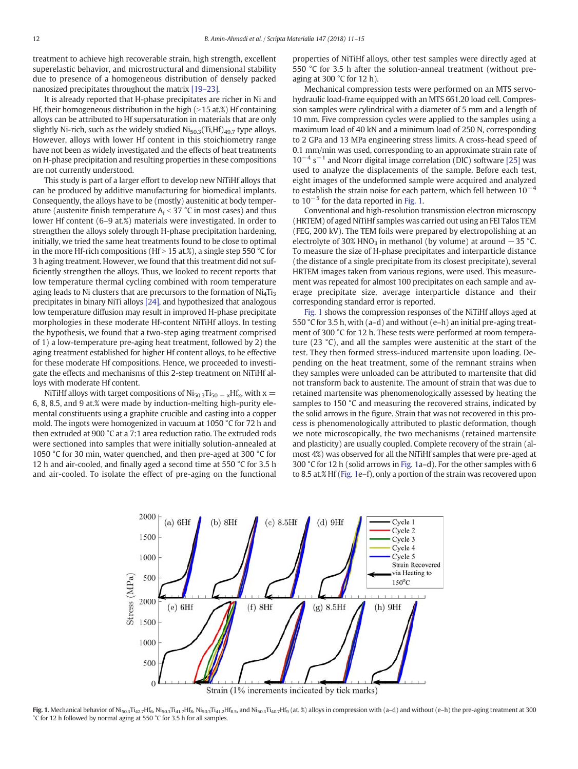<span id="page-1-0"></span>treatment to achieve high recoverable strain, high strength, excellent superelastic behavior, and microstructural and dimensional stability due to presence of a homogeneous distribution of densely packed nanosized precipitates throughout the matrix [19–[23\].](#page-3-0)

It is already reported that H-phase precipitates are richer in Ni and Hf, their homogeneous distribution in the high  $(>15$  at.%) Hf containing alloys can be attributed to Hf supersaturation in materials that are only slightly Ni-rich, such as the widely studied  $\text{Ni}_{50.3}(\text{Ti},\text{Hf})_{49.7}$  type alloys. However, alloys with lower Hf content in this stoichiometry range have not been as widely investigated and the effects of heat treatments on H-phase precipitation and resulting properties in these compositions are not currently understood.

This study is part of a larger effort to develop new NiTiHf alloys that can be produced by additive manufacturing for biomedical implants. Consequently, the alloys have to be (mostly) austenitic at body temperature (austenite finish temperature  $A_f < 37$  °C in most cases) and thus lower Hf content (6–9 at.%) materials were investigated. In order to strengthen the alloys solely through H-phase precipitation hardening, initially, we tried the same heat treatments found to be close to optimal in the more Hf-rich compositions (Hf  $>$  15 at.%), a single step 550 °C for 3 h aging treatment. However, we found that this treatment did not sufficiently strengthen the alloys. Thus, we looked to recent reports that low temperature thermal cycling combined with room temperature aging leads to Ni clusters that are precursors to the formation of  $Ni<sub>4</sub>Ti<sub>3</sub>$ precipitates in binary NiTi alloys [\[24\]](#page-4-0), and hypothesized that analogous low temperature diffusion may result in improved H-phase precipitate morphologies in these moderate Hf-content NiTiHf alloys. In testing the hypothesis, we found that a two-step aging treatment comprised of 1) a low-temperature pre-aging heat treatment, followed by 2) the aging treatment established for higher Hf content alloys, to be effective for these moderate Hf compositions. Hence, we proceeded to investigate the effects and mechanisms of this 2-step treatment on NiTiHf alloys with moderate Hf content.

NiTiHf alloys with target compositions of  $N$ i<sub>50.3</sub>Ti<sub>50</sub>  $-$  <sub>x</sub>Hf<sub>x</sub>, with x = 6, 8, 8.5, and 9 at.% were made by induction-melting high-purity elemental constituents using a graphite crucible and casting into a copper mold. The ingots were homogenized in vacuum at 1050 °C for 72 h and then extruded at 900 °C at a 7:1 area reduction ratio. The extruded rods were sectioned into samples that were initially solution-annealed at 1050 °C for 30 min, water quenched, and then pre-aged at 300 °C for 12 h and air-cooled, and finally aged a second time at 550 °C for 3.5 h and air-cooled. To isolate the effect of pre-aging on the functional properties of NiTiHf alloys, other test samples were directly aged at 550 °C for 3.5 h after the solution-anneal treatment (without preaging at 300  $^{\circ}$ C for 12 h).

Mechanical compression tests were performed on an MTS servohydraulic load-frame equipped with an MTS 661.20 load cell. Compression samples were cylindrical with a diameter of 5 mm and a length of 10 mm. Five compression cycles were applied to the samples using a maximum load of 40 kN and a minimum load of 250 N, corresponding to 2 GPa and 13 MPa engineering stress limits. A cross-head speed of 0.1 mm/min was used, corresponding to an approximate strain rate of 10<sup>-4</sup> s<sup>-1</sup> and Ncorr digital image correlation (DIC) software [\[25\]](#page-4-0) was used to analyze the displacements of the sample. Before each test, eight images of the undeformed sample were acquired and analyzed to establish the strain noise for each pattern, which fell between  $10^{-4}$ to  $10^{-5}$  for the data reported in Fig. 1.

Conventional and high-resolution transmission electron microscopy (HRTEM) of aged NiTiHf samples was carried out using an FEI Talos TEM (FEG, 200 kV). The TEM foils were prepared by electropolishing at an electrolyte of 30% HNO<sub>3</sub> in methanol (by volume) at around  $-35$  °C. To measure the size of H-phase precipitates and interparticle distance (the distance of a single precipitate from its closest precipitate), several HRTEM images taken from various regions, were used. This measurement was repeated for almost 100 precipitates on each sample and average precipitate size, average interparticle distance and their corresponding standard error is reported.

Fig. 1 shows the compression responses of the NiTiHf alloys aged at 550 °C for 3.5 h, with (a–d) and without (e–h) an initial pre-aging treatment of 300 °C for 12 h. These tests were performed at room temperature (23 °C), and all the samples were austenitic at the start of the test. They then formed stress-induced martensite upon loading. Depending on the heat treatment, some of the remnant strains when they samples were unloaded can be attributed to martensite that did not transform back to austenite. The amount of strain that was due to retained martensite was phenomenologically assessed by heating the samples to 150 °C and measuring the recovered strains, indicated by the solid arrows in the figure. Strain that was not recovered in this process is phenomenologically attributed to plastic deformation, though we note microscopically, the two mechanisms (retained martensite and plasticity) are usually coupled. Complete recovery of the strain (almost 4%) was observed for all the NiTiHf samples that were pre-aged at 300 °C for 12 h (solid arrows in Fig. 1a–d). For the other samples with 6 to 8.5 at.% Hf (Fig. 1e–f), only a portion of the strain was recovered upon



Fig. 1. Mechanical behavior of Ni<sub>50.3</sub>Ti<sub>42.7</sub>Hf<sub>6</sub>, Ni<sub>50.3</sub>Ti<sub>41.7</sub>Hf<sub>8</sub>, Ni<sub>50.3</sub>Ti<sub>41.2</sub>Hf<sub>8.5</sub>, and Ni<sub>50.3</sub>Ti<sub>40.7</sub>Hf<sub>9</sub> (at. %) alloys in compression with (a-d) and without (e-h) the pre-aging treatment at 300 °C for 12 h followed by normal aging at 550 °C for 3.5 h for all samples.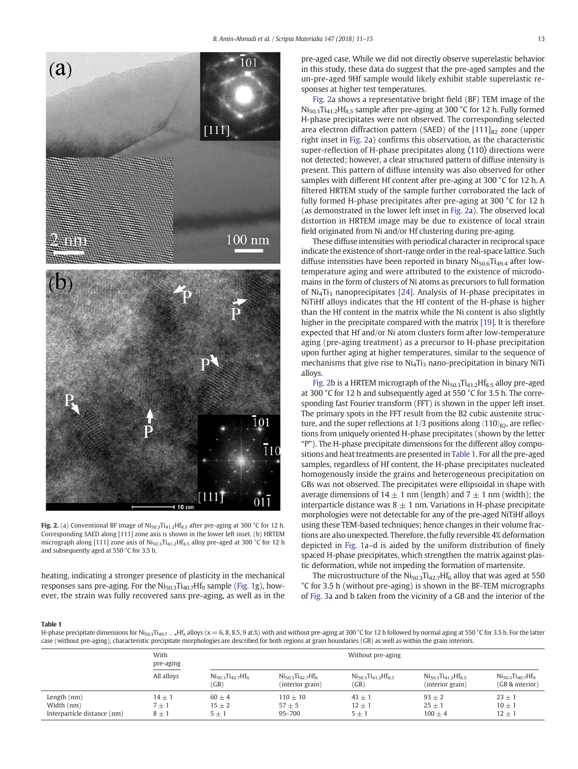<span id="page-2-0"></span>

Fig. 2. (a) Conventional BF image of  $Ni<sub>50.3</sub>Ti<sub>41.2</sub>Hf<sub>8.5</sub>$  after pre-aging at 300 °C for 12 h. Corresponding SAED along [111] zone axis is shown in the lower left inset. (b) HRTEM micrograph along [111] zone axis of  $\text{Ni}_{50.3}\text{Ti}_{41.2}\text{Hf}_{8.5}$  alloy pre-aged at 300 °C for 12 h and subsequently aged at 550 °C for 3.5 h.

heating, indicating a stronger presence of plasticity in the mechanical responses sans pre-aging. For the  $Ni<sub>50.3</sub>Ti<sub>40.7</sub>Hf<sub>9</sub>$  sample [\(Fig. 1](#page-1-0)g), however, the strain was fully recovered sans pre-aging, as well as in the pre-aged case. While we did not directly observe superelastic behavior in this study, these data do suggest that the pre-aged samples and the un-pre-aged 9Hf sample would likely exhibit stable superelastic responses at higher test temperatures.

Fig. 2a shows a representative bright field (BF) TEM image of the  $Ni<sub>50.3</sub>Ti<sub>41.2</sub>Hf<sub>8.5</sub>$  sample after pre-aging at 300 °C for 12 h. Fully formed H-phase precipitates were not observed. The corresponding selected area electron diffraction pattern (SAED) of the  $[111]_{B2}$  zone (upper right inset in Fig. 2a) confirms this observation, as the characteristic super-reflection of H-phase precipitates along 〈110〉 directions were not detected; however, a clear structured pattern of diffuse intensity is present. This pattern of diffuse intensity was also observed for other samples with different Hf content after pre-aging at 300 °C for 12 h. A filtered HRTEM study of the sample further corroborated the lack of fully formed H-phase precipitates after pre-aging at 300 °C for 12 h (as demonstrated in the lower left inset in Fig. 2a). The observed local distortion in HRTEM image may be due to existence of local strain field originated from Ni and/or Hf clustering during pre-aging.

These diffuse intensities with periodical character in reciprocal space indicate the existence of short-range order in the real-space lattice. Such diffuse intensities have been reported in binary  $N$ i<sub>50.6</sub>Ti<sub>49.4</sub> after lowtemperature aging and were attributed to the existence of microdomains in the form of clusters of Ni atoms as precursors to full formation of  $Ni<sub>4</sub>Ti<sub>3</sub>$  nanoprecipitates [\[24\].](#page-4-0) Analysis of H-phase precipitates in NiTiHf alloys indicates that the Hf content of the H-phase is higher than the Hf content in the matrix while the Ni content is also slightly higher in the precipitate compared with the matrix [\[19\].](#page-3-0) It is therefore expected that Hf and/or Ni atom clusters form after low-temperature aging (pre-aging treatment) as a precursor to H-phase precipitation upon further aging at higher temperatures, similar to the sequence of mechanisms that give rise to  $Ni<sub>4</sub>Ti<sub>3</sub>$  nano-precipitation in binary NiTi alloys.

Fig. 2b is a HRTEM micrograph of the Ni<sub>50.3</sub>Ti<sub>41.2</sub>Hf<sub>8.5</sub> alloy pre-aged at 300 °C for 12 h and subsequently aged at 550 °C for 3.5 h. The corresponding fast Fourier transform (FFT) is shown in the upper left inset. The primary spots in the FFT result from the B2 cubic austenite structure, and the super reflections at  $1/3$  positions along  $\langle 110 \rangle_{\text{B2}}$ , are reflections from uniquely oriented H-phase precipitates (shown by the letter "P"). The H-phase precipitate dimensions for the different alloy compositions and heat treatments are presented in Table 1. For all the pre-aged samples, regardless of Hf content, the H-phase precipitates nucleated homogenously inside the grains and heterogeneous precipitation on GBs was not observed. The precipitates were ellipsoidal in shape with average dimensions of  $14 \pm 1$  nm (length) and  $7 \pm 1$  nm (width); the interparticle distance was  $8 \pm 1$  nm. Variations in H-phase precipitate morphologies were not detectable for any of the pre-aged NiTiHf alloys using these TEM-based techniques; hence changes in their volume fractions are also unexpected. Therefore, the fully reversible 4% deformation depicted in [Fig. 1a](#page-1-0)–d is aided by the uniform distribution of finely spaced H-phase precipitates, which strengthen the matrix against plastic deformation, while not impeding the formation of martensite.

The microstructure of the  $Ni<sub>50.3</sub>Ti<sub>42.7</sub>Hf<sub>6</sub>$  alloy that was aged at 550 °C for 3.5 h (without pre-aging) is shown in the BF-TEM micrographs of [Fig. 3a](#page-3-0) and b taken from the vicinity of a GB and the interior of the

### Table 1

H-phase precipitate dimensions for Ni<sub>50.3</sub>Ti<sub>49.7</sub> - <sub>x</sub>Hf<sub>x</sub> alloys (x = 6, 8, 8.5, 9 at.%) with and without pre-aging at 300 °C for 12 h followed by normal aging at 550 °C for 3.5 h. For the latter case (without pre-aging), characteristic precipitate morphologies are described for both regions at grain boundaries (GB) as well as within the grain interiors.

|                                                            | With<br>pre-aging              | Without pre-aging                  |                                                |                                      |                                                  |                                               |
|------------------------------------------------------------|--------------------------------|------------------------------------|------------------------------------------------|--------------------------------------|--------------------------------------------------|-----------------------------------------------|
|                                                            | All alloys                     | $Ni_{50.3}Ti_{42.7}Hf_{6}$<br>(GB) | $Ni_{50.3}Ti_{42.7}Hf_{6}$<br>(interior grain) | $Ni_{50.3}Ti_{41.2}Hf_{8.5}$<br>(GB) | $Ni_{50.3}Ti_{41.2}Hf_{8.5}$<br>(interior grain) | $Ni_{50.3}Ti_{40.7}Hf_{9}$<br>(GB & interior) |
| Length $(nm)$<br>Width (nm)<br>Interparticle distance (nm) | $14 + 1$<br>$7 + 1$<br>$8 + 1$ | $60 + 4$<br>$15 + 2$<br>$5 + 1$    | $110 + 10$<br>$57 + 5$<br>$95 - 700$           | $43 + 1$<br>$12 + 1$<br>$5 + 1$      | $93 + 2$<br>$25 + 1$<br>$100 + 4$                | $23 + 1$<br>$10 + 1$<br>$12 \pm 1$            |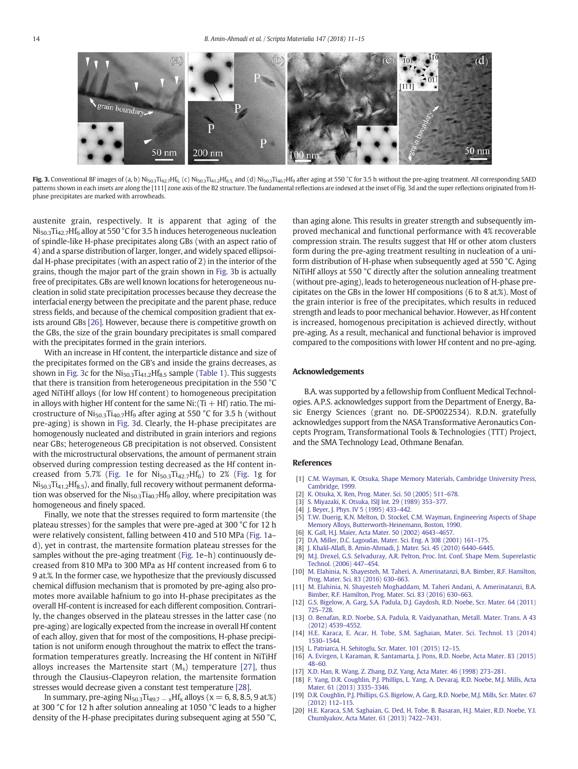<span id="page-3-0"></span>

Fig. 3. Conventional BF images of (a, b)  $N$ i<sub>50.3</sub>Ti<sub>42.7</sub>Hf<sub>6</sub>, (c)  $N$ i<sub>50.3</sub>Ti<sub>41.2</sub>Hf<sub>8.5</sub>, and (d)  $N$ i<sub>50.3</sub>Ti<sub>40.7</sub>H<sub>f9</sub> after aging at 550 °C for 3.5 h without the pre-aging treatment. All corresponding SAED patterns shown in each insets are along the [111] zone axis of the B2 structure. The fundamental reflections are indexed at the inset of Fig. 3d and the super reflections originated from Hphase precipitates are marked with arrowheads.

austenite grain, respectively. It is apparent that aging of the  $N$ i<sub>50.3</sub>Ti<sub>42.7</sub>Hf<sub>6</sub> alloy at 550 °C for 3.5 h induces heterogeneous nucleation of spindle-like H-phase precipitates along GBs (with an aspect ratio of 4) and a sparse distribution of larger, longer, and widely spaced ellipsoidal H-phase precipitates (with an aspect ratio of 2) in the interior of the grains, though the major part of the grain shown in Fig. 3b is actually free of precipitates. GBs are well known locations for heterogeneous nucleation in solid state precipitation processes because they decrease the interfacial energy between the precipitate and the parent phase, reduce stress fields, and because of the chemical composition gradient that exists around GBs [\[26\].](#page-4-0) However, because there is competitive growth on the GBs, the size of the grain boundary precipitates is small compared with the precipitates formed in the grain interiors.

With an increase in Hf content, the interparticle distance and size of the precipitates formed on the GB's and inside the grains decreases, as shown in Fig. 3c for the  $Ni<sub>50.3</sub>Ti<sub>41.2</sub>Hf<sub>8.5</sub>$  sample [\(Table 1\)](#page-2-0). This suggests that there is transition from heterogeneous precipitation in the 550 °C aged NiTiHf alloys (for low Hf content) to homogeneous precipitation in alloys with higher Hf content for the same  $Ni$ : (Ti  $+$  Hf) ratio. The microstructure of  $Ni<sub>50.3</sub>Ti<sub>40.7</sub>Hf<sub>9</sub>$  after aging at 550 °C for 3.5 h (without pre-aging) is shown in Fig. 3d. Clearly, the H-phase precipitates are homogenously nucleated and distributed in grain interiors and regions near GBs; heterogeneous GB precipitation is not observed. Consistent with the microstructural observations, the amount of permanent strain observed during compression testing decreased as the Hf content in-creased from 5.7% ([Fig. 1](#page-1-0)e for  $Ni<sub>50.3</sub>Ti<sub>42.7</sub>HF<sub>6</sub>$ ) to 2% [\(Fig. 1g](#page-1-0) for  $Ni<sub>50.3</sub>Ti<sub>41.2</sub>Hf<sub>8.5</sub>$ ), and finally, full recovery without permanent deformation was observed for the  $Ni<sub>50.3</sub>Ti<sub>40.7</sub>Hf<sub>9</sub>$  alloy, where precipitation was homogeneous and finely spaced.

Finally, we note that the stresses required to form martensite (the plateau stresses) for the samples that were pre-aged at 300 °C for 12 h were relatively consistent, falling between 410 and 510 MPa [\(Fig. 1](#page-1-0)a– d), yet in contrast, the martensite formation plateau stresses for the samples without the pre-aging treatment [\(Fig. 1e](#page-1-0)–h) continuously decreased from 810 MPa to 300 MPa as Hf content increased from 6 to 9 at.%. In the former case, we hypothesize that the previously discussed chemical diffusion mechanism that is promoted by pre-aging also promotes more available hafnium to go into H-phase precipitates as the overall Hf-content is increased for each different composition. Contrarily, the changes observed in the plateau stresses in the latter case (no pre-aging) are logically expected from the increase in overall Hf content of each alloy, given that for most of the compositions, H-phase precipitation is not uniform enough throughout the matrix to effect the transformation temperatures greatly. Increasing the Hf content in NiTiHf alloys increases the Martensite start  $(M_s)$  temperature [\[27\],](#page-4-0) thus through the Clausius-Clapeyron relation, the martensite formation stresses would decrease given a constant test temperature [\[28\]](#page-4-0).

In summary, pre-aging  $Ni_{50.3}Ti_{49.7-x}Hf_x$  alloys ( $x = 6, 8, 8.5, 9$  at.%) at 300 °C for 12 h after solution annealing at 1050 °C leads to a higher density of the H-phase precipitates during subsequent aging at 550 °C, than aging alone. This results in greater strength and subsequently improved mechanical and functional performance with 4% recoverable compression strain. The results suggest that Hf or other atom clusters form during the pre-aging treatment resulting in nucleation of a uniform distribution of H-phase when subsequently aged at 550 °C. Aging NiTiHf alloys at 550 °C directly after the solution annealing treatment (without pre-aging), leads to heterogeneous nucleation of H-phase precipitates on the GBs in the lower Hf compositions (6 to 8 at.%). Most of the grain interior is free of the precipitates, which results in reduced strength and leads to poor mechanical behavior. However, as Hf content is increased, homogenous precipitation is achieved directly, without pre-aging. As a result, mechanical and functional behavior is improved compared to the compositions with lower Hf content and no pre-aging.

### Acknowledgements

B.A. was supported by a fellowship from Confluent Medical Technologies. A.P.S. acknowledges support from the Department of Energy, Basic Energy Sciences (grant no. DE-SP0022534). R.D.N. gratefully acknowledges support from the NASA Transformative Aeronautics Concepts Program, Transformational Tools & Technologies (TTT) Project, and the SMA Technology Lead, Othmane Benafan.

### References

- [1] [C.M. Wayman, K. Otsuka, Shape Memory Materials, Cambridge University Press,](http://refhub.elsevier.com/S1359-6462(17)30724-8/rf0005) [Cambridge, 1999.](http://refhub.elsevier.com/S1359-6462(17)30724-8/rf0005)
- 
- [2] [K. Otsuka, X. Ren, Prog. Mater. Sci. 50 \(2005\) 511](http://refhub.elsevier.com/S1359-6462(17)30724-8/rf0010)–678. [3] [S. Miyazaki, K. Otsuka, ISIJ Int. 29 \(1989\) 353](http://refhub.elsevier.com/S1359-6462(17)30724-8/rf0015)–377.
- [4] [J. Beyer, J. Phys. IV 5 \(1995\) 433](http://refhub.elsevier.com/S1359-6462(17)30724-8/rf0020)-442.
- [5] [T.W. Duerig, K.N. Melton, D. Stockel, C.M. Wayman, Engineering Aspects of Shape](http://refhub.elsevier.com/S1359-6462(17)30724-8/rf0025) [Memory Alloys, Butterworth-Heinemann, Boston, 1990](http://refhub.elsevier.com/S1359-6462(17)30724-8/rf0025).
- [6] [K. Gall, H.J. Maier, Acta Mater. 50 \(2002\) 4643](http://refhub.elsevier.com/S1359-6462(17)30724-8/rf0030)–4657.
- [7] [D.A. Miller, D.C. Lagoudas, Mater. Sci. Eng. A 308 \(2001\) 161](http://refhub.elsevier.com/S1359-6462(17)30724-8/rf0035)–175.
- [8] J. Khalil-Allafi[, B. Amin-Ahmadi, J. Mater. Sci. 45 \(2010\) 6440](http://refhub.elsevier.com/S1359-6462(17)30724-8/rf0040)–6445.
- [9] [M.J. Drexel, G.S. Selvaduray, A.R. Pelton, Proc. Int. Conf. Shape Mem. Superelastic](http://refhub.elsevier.com/S1359-6462(17)30724-8/rf0045) [Technol. \(2006\) 447](http://refhub.elsevier.com/S1359-6462(17)30724-8/rf0045)–454.
- [10] [M. Elahinia, N. Shayesteh, M. Taheri, A. Amerinatanzi, B.A. Bimber, R.F. Hamilton,](http://refhub.elsevier.com/S1359-6462(17)30724-8/rf0050) [Prog. Mater. Sci. 83 \(2016\) 630](http://refhub.elsevier.com/S1359-6462(17)30724-8/rf0050)–663.
- [11] [M. Elahinia, N. Shayesteh Moghaddam, M. Taheri Andani, A. Amerinatanzi, B.A.](http://refhub.elsevier.com/S1359-6462(17)30724-8/rf0055) [Bimber, R.F. Hamilton, Prog. Mater. Sci. 83 \(2016\) 630](http://refhub.elsevier.com/S1359-6462(17)30724-8/rf0055)–663.
- [12] [G.S. Bigelow, A. Garg, S.A. Padula, D.J. Gaydosh, R.D. Noebe, Scr. Mater. 64 \(2011\)](http://refhub.elsevier.com/S1359-6462(17)30724-8/rf0060) [725](http://refhub.elsevier.com/S1359-6462(17)30724-8/rf0060)–728.
- [13] [O. Benafan, R.D. Noebe, S.A. Padula, R. Vaidyanathan, Metall. Mater. Trans. A 43](http://refhub.elsevier.com/S1359-6462(17)30724-8/rf0065) [\(2012\) 4539](http://refhub.elsevier.com/S1359-6462(17)30724-8/rf0065)–4552.
- [14] [H.E. Karaca, E. Acar, H. Tobe, S.M. Saghaian, Mater. Sci. Technol. 13 \(2014\)](http://refhub.elsevier.com/S1359-6462(17)30724-8/rf0070) 1530–[1544.](http://refhub.elsevier.com/S1359-6462(17)30724-8/rf0070)
- [15] [L. Patriarca, H. Sehitoglu, Scr. Mater. 101 \(2015\) 12](http://refhub.elsevier.com/S1359-6462(17)30724-8/rf0075)–15.
- [16] [A. Evirgen, I. Karaman, R. Santamarta, J. Pons, R.D. Noebe, Acta Mater. 83 \(2015\)](http://refhub.elsevier.com/S1359-6462(17)30724-8/rf0080) [48](http://refhub.elsevier.com/S1359-6462(17)30724-8/rf0080)–60.
- [17] [X.D. Han, R. Wang, Z. Zhang, D.Z. Yang, Acta Mater. 46 \(1998\) 273](http://refhub.elsevier.com/S1359-6462(17)30724-8/rf0085)–281.
- [18] [F. Yang, D.R. Coughlin, P.J. Phillips, L. Yang, A. Devaraj, R.D. Noebe, M.J. Mills, Acta](http://refhub.elsevier.com/S1359-6462(17)30724-8/rf0090) [Mater. 61 \(2013\) 3335](http://refhub.elsevier.com/S1359-6462(17)30724-8/rf0090)–3346.
- [19] [D.R. Coughlin, P.J. Phillips, G.S. Bigelow, A. Garg, R.D. Noebe, M.J. Mills, Scr. Mater. 67](http://refhub.elsevier.com/S1359-6462(17)30724-8/rf0095) [\(2012\) 112](http://refhub.elsevier.com/S1359-6462(17)30724-8/rf0095)–115.
- [20] [H.E. Karaca, S.M. Saghaian, G. Ded, H. Tobe, B. Basaran, H.J. Maier, R.D. Noebe, Y.I.](http://refhub.elsevier.com/S1359-6462(17)30724-8/rf0100) [Chumlyakov, Acta Mater. 61 \(2013\) 7422](http://refhub.elsevier.com/S1359-6462(17)30724-8/rf0100)–7431.